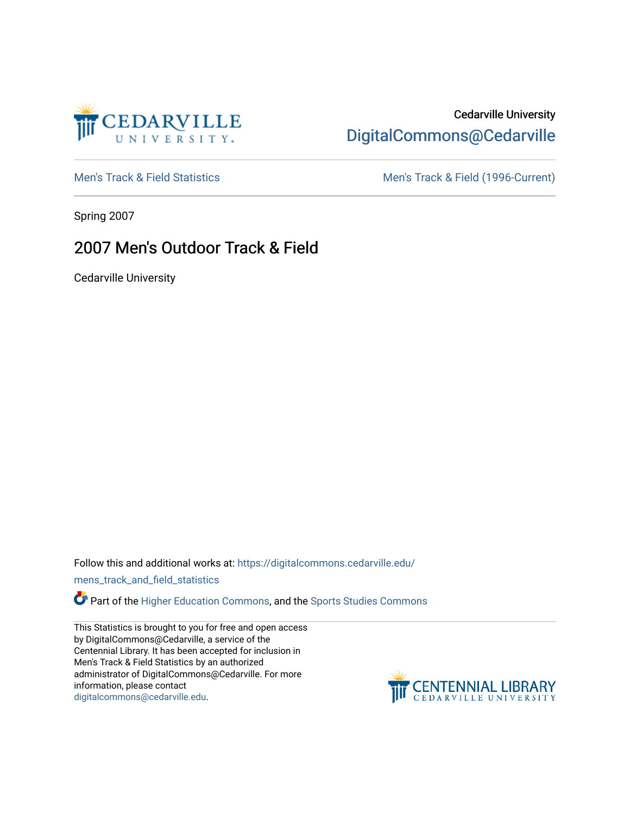

# Cedarville University [DigitalCommons@Cedarville](https://digitalcommons.cedarville.edu/)

[Men's Track & Field Statistics](https://digitalcommons.cedarville.edu/mens_track_and_field_statistics) [Men's Track & Field \(1996-Current\)](https://digitalcommons.cedarville.edu/mens_track_and_field) 

Spring 2007

# 2007 Men's Outdoor Track & Field

Cedarville University

Follow this and additional works at: [https://digitalcommons.cedarville.edu/](https://digitalcommons.cedarville.edu/mens_track_and_field_statistics?utm_source=digitalcommons.cedarville.edu%2Fmens_track_and_field_statistics%2F175&utm_medium=PDF&utm_campaign=PDFCoverPages)

[mens\\_track\\_and\\_field\\_statistics](https://digitalcommons.cedarville.edu/mens_track_and_field_statistics?utm_source=digitalcommons.cedarville.edu%2Fmens_track_and_field_statistics%2F175&utm_medium=PDF&utm_campaign=PDFCoverPages)

Part of the [Higher Education Commons,](http://network.bepress.com/hgg/discipline/1245?utm_source=digitalcommons.cedarville.edu%2Fmens_track_and_field_statistics%2F175&utm_medium=PDF&utm_campaign=PDFCoverPages) and the Sports Studies Commons

This Statistics is brought to you for free and open access by DigitalCommons@Cedarville, a service of the Centennial Library. It has been accepted for inclusion in Men's Track & Field Statistics by an authorized administrator of DigitalCommons@Cedarville. For more information, please contact [digitalcommons@cedarville.edu](mailto:digitalcommons@cedarville.edu).

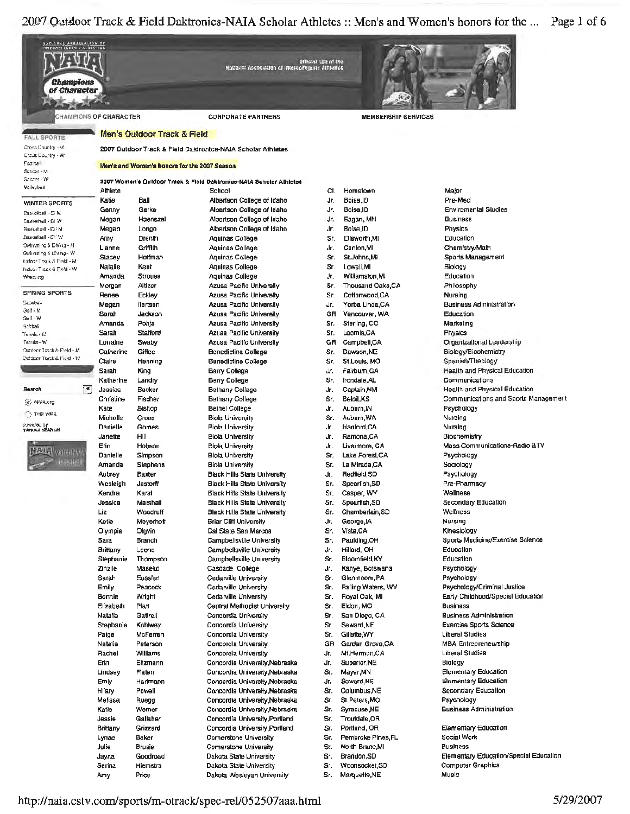| <u>NATLANAL ARBOOIALION DE</u><br>INTERADULEMENTE AT HESTION<br>Champions<br>of Character |                 |                                              | National Association of Intersolisgiate Athietics                   | Official site of the |                            |                                      |
|-------------------------------------------------------------------------------------------|-----------------|----------------------------------------------|---------------------------------------------------------------------|----------------------|----------------------------|--------------------------------------|
| <b>CHAMPIONS OF CHARACTER</b>                                                             |                 |                                              | <b>CORPORATE PARTNERS</b>                                           |                      | <b>MEMBERSHIP SERVICES</b> |                                      |
|                                                                                           |                 | Men's Outdoor Track & Field                  |                                                                     |                      |                            |                                      |
| <b>FALL SPORTS</b>                                                                        |                 |                                              |                                                                     |                      |                            |                                      |
| Cress Country - M<br>Crous Country - W                                                    |                 |                                              | 2007 Outdoor Track & Field Daktronics-NAIA Scholar Athletes         |                      |                            |                                      |
| Footba                                                                                    |                 | Men's and Women's honors for the 2007 Season |                                                                     |                      |                            |                                      |
| Beccar - M                                                                                |                 |                                              |                                                                     |                      |                            |                                      |
| Goccer - W<br>Volleybali                                                                  |                 |                                              | 2007 Women's Outdoor Track & Field Daktronics-NAIA Scholar Athletes |                      |                            |                                      |
|                                                                                           | Athlete         |                                              | School                                                              | CI.                  | Hometown                   | Major                                |
| <b>WINTER SPORTS</b>                                                                      | Katie           | Ball                                         | Albertson College of Idaho                                          | Jr.                  | Boise.ID                   | Pre-Med                              |
| Bassetbali - Di M                                                                         | Genny           | Gerke                                        | Albertson College of Idaho                                          | Jr.                  | Boise, ID                  | <b>Enviromental Studies</b>          |
| Basketball - Di W                                                                         | Megan           | Haenszel                                     | Albertson College of Idaho                                          | Jr.                  | Eagan, MN                  | <b>Business</b>                      |
| Saskatball - Dil M<br>Basketball - CFW                                                    | Megan           | Longo                                        | Albertson College of Idaho                                          | Jr.                  | Boise, ID                  | Physics                              |
| Owinning & Divirg - M                                                                     | Amy             | Drenth                                       | Aquinas College                                                     | Sr.                  | Elisworth, MI              | Education                            |
| Swimming S Diving - W                                                                     | Lianne          | Griffith                                     | Aquinas College                                                     | Jr.                  | Canton, MI                 | Chemistry/Math                       |
| Endoor Track & Field - M                                                                  | Slacey          | Hoffman                                      | Aquinas College                                                     | Sr.                  | St.Johns,Mi                | Sports Management                    |
| Frekron Track & Fleld - W                                                                 | Natalie         | Kent                                         | Aquinas College                                                     | Sr.                  | Lowell, MI                 | Biology                              |
| Wheat right                                                                               | Amanda          | Strouse                                      | Aquinas College                                                     | Jr,                  | Williamston, MI            | Education                            |
| <b>SPRING SPORTS</b>                                                                      | Morgan          | Altizer                                      | Azusa Pacific University                                            | Sr.                  | Thousand Oaks, CA          | Philosophy                           |
| Basebat                                                                                   | Renee           | Eckley                                       | Azusa Pacific University                                            | Sr.                  | Cotloriwood,CA             | Nursing                              |
| Golf - M                                                                                  | Megan           | liertsen                                     | <b>Azusa Pacific University</b>                                     | Jr.                  | Yorba Linda,CA             | <b>Business Administration</b>       |
| Golf - W                                                                                  | Sanah           | Jackson                                      | Azusa Pacific University                                            | GR                   | Vancouver, WA              | Education                            |
|                                                                                           | Amanda          | Pohja                                        | <b>Azusa Pacific University</b>                                     | Sr.                  | Sterling, CO               | Marketing                            |
| Tennis - í∉                                                                               | Sarah           | <b>Stafford</b>                              | Azusa Pacific University                                            | Sr.                  | Loomis,CA                  | Physics                              |
| Tartais - W<br>Outdoor Track & Field - M                                                  | Lorraine        | Swaby                                        | Azusa Pacific University                                            | GR                   | Campbell,CA                | Organizational Leadership            |
| Outdoor Track & Fight - W                                                                 | Calherine       | Giffee                                       | Benedictine College                                                 | Sг.                  | Dawson, NE                 | Biology/Biochemistry                 |
|                                                                                           | Claire          | Henning                                      | Benedictine College                                                 | Sr.                  | St.Louis, MO               | Spanish/Theology                     |
|                                                                                           | Sarah           | King                                         | Berry College                                                       | Jr.                  | Fairbum, GA                | Health and Physical Education        |
|                                                                                           | Katherine       | Landry                                       | Berry College                                                       | Sr.                  | Irondale, AL               | Communications                       |
| Œ<br><b>Search</b>                                                                        | Jessica         | Becker                                       | Bethany College                                                     | Jr.                  | Captain, NM                | Health and Physical Education        |
| (e) NAIA.org                                                                              | Christine       | Fischer                                      | Bethany College                                                     | Sr.                  | Beloit,KS                  | Communications and Sports Management |
| <b>O THE WEB</b>                                                                          | Kate            | Bishop                                       | Bethel College                                                      | Jr.                  | Auburn, IN                 | Psychology                           |
|                                                                                           | Michelle        | <b>Cross</b>                                 | <b>Biola University</b>                                             | Sr.                  | Auburn, WA                 | Nursing                              |
| powered by<br>YAHOOI BEARCH                                                               | Danielle        | Gomes                                        | <b>Biola University</b>                                             | Jr.                  | Hanford,CA                 | Nuraing                              |
|                                                                                           | Janette         | HIII                                         | Biola University                                                    | Jr.                  | Ramona, CA                 | Biochemistry                         |
| <b>VATIVAL VELLI</b>                                                                      | Erin            | Hobson                                       | <b>Biola University</b>                                             | Jr.                  | Livermore, CA              | Mass Communications-Radio &TV        |
|                                                                                           | Danielle        | Simpson                                      | <b>Biola University</b>                                             | Sr.                  | Lake Forest, CA            | Psychology                           |
| <b>RAMANI</b>                                                                             | Amanda          | <b>Siephens</b>                              | <b>Biola University</b>                                             | Sr.                  | La Mirada,CA               | Sociology                            |
|                                                                                           | Aubrey          | Baxter                                       | <b>Black Hills State University</b>                                 | Jr.                  | Redfield, SD               | Psychology                           |
|                                                                                           | Wesleigh        | Jastorff                                     | <b>Black Hills State University</b>                                 | Sr.                  | Spearfish,SD               | Pre-Pharmacy                         |
|                                                                                           | Kendra          | Karst                                        | <b>Black Hills State University</b>                                 | Sr.                  | Casper, WY                 | Wellness                             |
|                                                                                           | Jessica         | Marshall                                     | <b>Black Hills State University</b>                                 | Sr.                  | Spearfish, SD              | Secondary Education                  |
|                                                                                           | Liz             | Woodruff                                     | Black Hills State University                                        | Sr.                  | Chamberlain, SD            | Wellness                             |
|                                                                                           | Ketie           | Meyerhoff                                    | <b>Briar Cliff University</b>                                       | Jr.                  | George, IA                 | Nursing                              |
|                                                                                           | Olympia         | Olgvin                                       | Cal State San Marcos                                                | Sr.                  | Vista, CA                  | Kinesiology                          |
|                                                                                           | Sara            | Branch                                       | Campbellsville University                                           | Sr.                  | Paulding, OH               | Sports Medicine/Exercise Science     |
|                                                                                           | <b>Brittany</b> | Leone                                        | Campbellsville University                                           | Jr.                  | Hillard, OH                | Education                            |
|                                                                                           | Stephanie       | Thompson                                     | Campbellsville University                                           | Sr.                  | Bloomfield, KY             | Education                            |
|                                                                                           | Zinzile         | Maseko                                       | Cascade College                                                     | Jr.                  | Kanye, Botswana            | Psychology                           |
|                                                                                           | Sarah           | Eusslen                                      | Cedarville University                                               | Sr.                  | Glenmoore, PA              | Psychology                           |
|                                                                                           | Emily           | Peacock                                      | <b>Cedarville University</b>                                        | Sr.                  | Falling Waters, WV         | Psychology/Criminal Justice          |
|                                                                                           | Bonnie          | Wright                                       | Cedarville University                                               | Sr.                  | Royal Oak, MI              | Early Childhood/Special Education    |
|                                                                                           | Elizabeth       | Platt                                        | Central Methodist University                                        | Sr.                  | Eldon, MO                  | <b>Business</b>                      |
|                                                                                           | Natalie         | Gattrell                                     | Concordia University                                                | Sr.                  | San Diego, CA              | <b>Business Administration</b>       |
|                                                                                           | Stephanie       | Kohlwey                                      | Concordía University                                                | Sr.                  | Seward, NE                 | Exercise Sports Science              |
|                                                                                           | Paige           | McFerran                                     | Concordia University                                                | Sr.                  | Gillette, WY               | Liberal Studies                      |
|                                                                                           | Natalie         | Peterson                                     | Concordia University                                                | GR                   | Garden Grove,CA            | MBA Entrepreneurship                 |
|                                                                                           | Rachel          | Williams                                     | Concordia University                                                | Jr.                  | Mt.Hermon,CA               | Liberal Studies                      |
|                                                                                           | Erin            | Eitzmann                                     | Concordia University, Nebraska                                      | Jr.                  | Superior, NE               | Biology                              |
|                                                                                           | Lindsey         | Flaten                                       | Concordia University, Nebraska                                      | Sr.                  | Mayer, MN                  | <b>Elementary Education</b>          |
|                                                                                           | Emly            | Hartmann                                     | Concordia University, Nebraska                                      | Jr.                  | Seward, NE                 | <b>Elementary Education</b>          |
|                                                                                           | Hilary          | Powell                                       | Concordia University, Nebraska                                      | Sr.                  | Columbus, NE               | Secondary Education                  |
|                                                                                           | Melissa         | Ruegg                                        | Concordia University, Nebraska                                      | Sr.                  | St.Peters, MO              | Psychology                           |
|                                                                                           | Katie           | Wemer                                        | Concordia University, Nebraska                                      | Sr.                  | Syracuse, NE               | <b>Business Administration</b>       |
|                                                                                           | Jessie          | Gallaher                                     | Concordia University, Portland                                      | Sr.                  | Troutdale, OR              |                                      |
|                                                                                           | Brittany        | Grizzard                                     | Concordia University, Portland                                      | Sr.                  | Portland, OR               | Elementary Education                 |
|                                                                                           |                 |                                              |                                                                     |                      |                            |                                      |

Social Work **Business** Elementary Education/Special Education Computer Graphics  $M$ USİC

# http://naia.cstv.com/sports/m-otrack/spec-rel/052507aaa.html

Cornerstone University

Comerstone University

Dakota State University

Dakota State University

Dakota Wesleyan University

Sr. Pembroke Pines, FL

Sr. North Branc, MI

Sr. Woonsocket, SD

Sr. Marquette, NE

Sr. Brandon, SD

Baker

**Brusie** 

Goodroad

Hiemstra

Price

Lynae

Julie

Jayna

Serina

Amy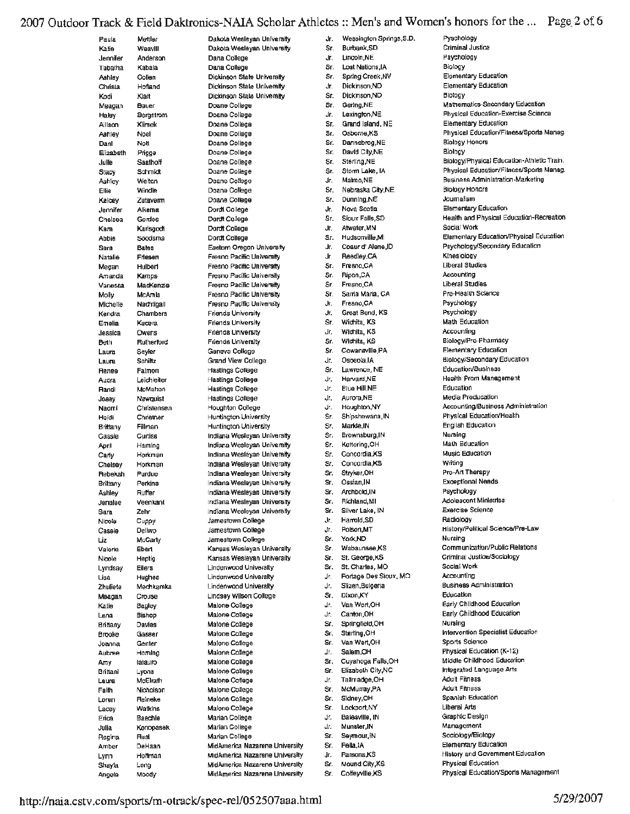# 2007 Outdoor Track & Field Daktronics-NAIA Scholar Athletes :: Men's and Women's honors for the ... Page 2 of 6

| Paula               | Mettler                 |
|---------------------|-------------------------|
| Katie               | Weavill                 |
| Jennifer<br>Tabatha | Anderson<br>Kabala      |
| Aahley              | Collen                  |
| Christa             | Hofland                 |
| Kodi                | Klatt                   |
| Meagan              | Bauer                   |
| Haley               | <b>Bergstrom</b>        |
| Allison<br>Aahley   | Klimek<br>Noel          |
| Danl                | Notl                    |
| Elizabeth           | Prigge                  |
| Julle               | Saathoff                |
| Stacy               | Schmidt                 |
| Ashley              | Welton                  |
| Ellie<br>Kelcey     | Windle<br>Zutaverm      |
| Jennifer            | Alkema                  |
| Chelsea             | Gerdes                  |
| Каљ                 | Karlsgodt               |
| Abbie               | Soodsma                 |
| Sara                | <b>Bates</b>            |
| Natalie             | Friesen                 |
| Megan<br>Amanda     | Hulbert<br>Kamps        |
| Varvessa            | MacKenzie               |
| Molly               | McAmis                  |
| Michelle            | Nachtigall              |
| Kendra              | Chambers                |
| Ernelia             | Kucera                  |
| Jessica<br>Beth     | Owens<br>Rutherford     |
| Laura               | Seyler                  |
| Laura               | Schiltz                 |
| Renee               | Faimon                  |
| Audra               | Leichleiter             |
| Randi               | McMahon                 |
| Josay<br>Naomi      | Newquist<br>Christensen |
| Heidi               | Christner               |
| Brittany            | Fillman                 |
| Cassie              | <b>Curtiss</b>          |
| April               | Haming                  |
| Carly               | Horkman                 |
| Chelsey<br>Rebekah  | Horkman<br>Purdue       |
| Brittany            | Perkins                 |
| Ashley              | Ruffer                  |
| Jenalee             | Veenkant                |
| Sara                | Zehr                    |
| Nicole              | Cuppy                   |
| Cassie<br>Liz       | Dellwo<br>McCarty       |
| Valerie             | Ebert                   |
| Nicole              | Heptig                  |
| Lyndsay             | <b>Ellers</b>           |
| Lisa                | Hughes                  |
| Zhulieta            | Mechkarska              |
| Meagan<br>Katie     | Crouse<br>Bagley        |
| Lena                |                         |
|                     |                         |
|                     | Bishop<br>Davies        |
| Brittany<br>Brooke  | <b>Gasser</b>           |
| Joanna              | Genter                  |
| Aubree              | Homing                  |
| Amy                 | latauro                 |
| Brittani            | Lyons                   |
| Laura<br>Fallh      | McElrath<br>Nicholson   |
| Loren               | Reineke                 |
| Lacey               | Watkins                 |
| Erica               | Baechle                 |
| Julia               | Konopasek               |
| Regina<br>Amber     | Rust<br>DeHaan          |

Dakola Wesleyan University Dakota Wesleyan University Dana College Dana College Dickinson State University Dickinson State University Dickinson State University Doane College Doane College Doane College Doane College Doane College Doane College Doane College Doane College Doane College Doane College Doane College Dordt College Dordt College Dordt College Dordt College Eastern Oregon University Fresno Pacific University Fresno Pacific University **Eresno Pacífic University** Fresno Pacific University Fresno Pacific University Fresno Pacific University **Friends University Friends University Friends University Friends University** Geneva College Grand View College Hastings College Hastings College **Hastings College** Hastings College **Houghton College Huntington University** Huntington University Indiana Wesleyan University Indiana Wesleyan University Indiana Weslevan University Indiana Wesleyan University Indiana Weslevan University Indiana Wesleyan University Indiana Wesleyan University Indiana Wesleyan University Indiana Wesleyan University Jamestown College Jamestown College Jamestown College Kansas Wesleyan University Kansas Weslevan University **Lindenwood University Lindenwood University** Lindenwood University **Lindsey Wilson College** Malone College Majone College Malone College Malone College Malone College Malone College Maione College Malone College Maione College Malone College Malone College Malone College Marian College Marian College Marian College MidAmerica Nazarene University MidAmerica Nazarene University

MidAmerica Nazarene University

MidAmerica Nazarene University

Jr. Wessington Springs, S.D. Sr. Burbank.SD Lincoln.NE Jr. Sr **Lost Nations IA** Sr. Spring Creek, NV Jr. Dickinson.ND Sr. Dickinson ND Gering NE Sr Jr. Lexington, NE Grand Island, NE Sr. Sr. Osborne,KS Dannebrog NE Sr. David City,NE Sr. Sr. Sterling, NE Storm Lake, IA Sr. Malmo, NE dr. Sr. Nebraska City, NE Sr. Dunning, NE Nova Scotia Jr. Sr. Sioux Falls, SD Atwater, MN Jг. Hudsonville,MI Sr. Jr. Coaur d' Alene, ID Reedley, CA Jr. Sr. Fresno.CA Ripon,CA Sr. Sr Fresno, CA  $\mathbf{S}$ r Sarria Maria, CA Jr. Fresno CA Great Bend, KS Jr. Sr. Wichita, KS  $\overline{\mathbf{r}}$ Wichita, KS Sr. Wichita, KS Cowanaville, PA Sr. Ur. Osneola IA Sr. Lawrence, NE **Harvard NE** Jr. Jr. **Blue Hill NE** Aurora NE Цr. Houghton, NY Jr. Shipshewana.IN Sr. Markle, IN Sr. Sr. Brownsburg, IN Kettering.OH Sr. Sr. Concordia,KS Sr. Concordia.KS Sr. Stryker, OH Sr. Ossian.IN Sr. Archbold, IN Sr. Richland.MI Sr. Silver Lake, IN Harrold, SD Jr. dr. Polson.MT York.ND Sr. Wabaunsee,KS Sr. St. George, KS Sr. Sr. St. Charles, MO Portage Des Sioux, MO Jr. Jг. Slizen, Bulgeria Dixon, KY Sr. Van Wert, OH Цr. Canton, OH Ur. Sr. Springfield, OH Sterling, OH Sr. Sr. Van Wert, OH Salem.OH Jr. Cuyahoga Falls, OH Sr. Elizabeth City, NC Sr. Tallmadge.OH Jr. Sr. McMurray, PA Sidney, CH Sr. Sr. Lockport, NY Balasville, IN Jr. Jr. Munster, IN Sr. Seymour, IN Sr. Pella JA Jr. Parsons, KS Mound City, KS Sr.

Colfeyville,KS

Sr.

Pyschology Criminal Justice Psychology Biology Elementary Education **Elementary Education** Blology Mathematics-Secondary Education Physical Education-Exercise Science Elementary Education Physical Education/Filness/Sports Manag. **Biology Honors** Biology Biology/Physical Education-Athletic Train. Physical Education/Filness/Sports Manag. **Business Administration-Marketing Biology Honors** Journalism **Elementary Education** Health and Physical Education-Recreation Social Work Elementary Education/Physical Education Psychology/Secondary Education Kinesiology **Liberal Studies** Accounting **Liberal Studies** Pre-Health Science Psychology Psychology Math Education Accounting Biology/Pre-Pharmacy **Elementary Education** Biology/Secondary Education Education/Business **Health Prom Management** Education Media Producation Accounting/Business Administration Physical Education/Health **English Education** Nursing Math Education Music Education Writing Pre-Art Therapy **Exceptional Needs** Psychology Adolescent Ministries **Exercise Science** Radiology History/Political Science/Pre-Law Nursing Communication/Public Relations Criminal Justice/Sociology Social Work Accounting **Business Administration** Education Early Childhood Education Early Childhood Education Nursing Intervention Specialist Education Sports Science Physical Education (K-12) Middle Childhood Education Integrated Language Arts Adult Filmess **Adult Filmess** Spanish Education **Liberal Arts** Graphic Design Management Sociology/Biology **Elementary Education** History and Government Education Physical Education Physical Education/Sports Management

#### http://naia.cstv.com/sports/m-otrack/spec-rel/052507aaa.html

Long

Moody

Shayla

Angela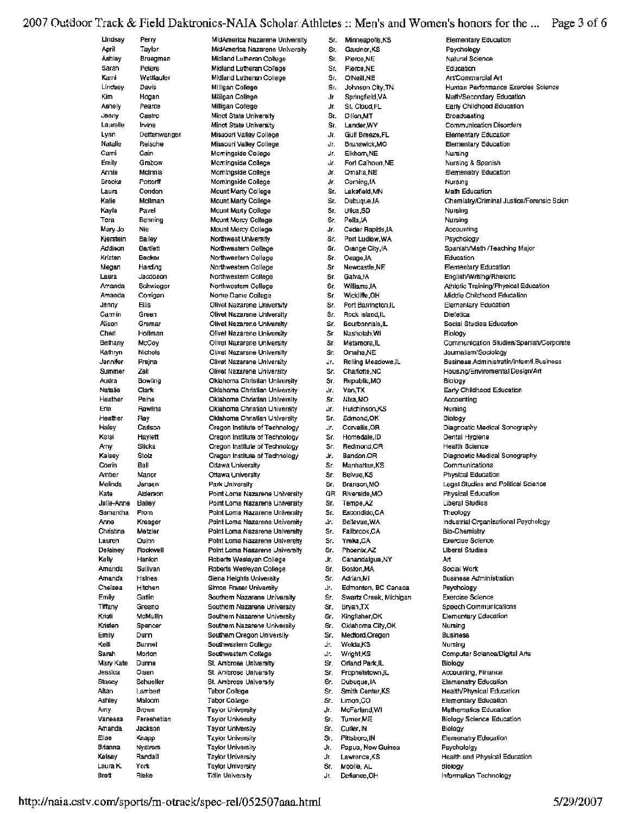### 2007 Outdoor Track & Field Daktronics-NAIA Scholar Athletes :: Men's and Women's honors for the ... Page 3 of 6

| Lindsay        | Perry        |
|----------------|--------------|
| April          | Taylor       |
| Aahley         | Bruegman     |
| Sarah          | Peters       |
| Kami           | Wettlaufer   |
| Lindaey        | Davis        |
| Kim            | Hogan        |
| Ashely         | Pearce       |
| Jenny          | Castro       |
| Laurelle       | Irvine       |
| Lynn           | Dettenwanger |
| <b>Natalie</b> | Reische      |
| Cami           | Cain         |
| Emily          | Grabow       |
| Annie          | McInnis      |
| Brooke         | Pottorff     |
|                |              |
| Laura          | Condon       |
| Katie          | Mollman      |
| Kayla          | Pavel        |
| Tera           | Behning      |
| Mary Jo        | Nie          |
| Kjerstein      | Balley       |
| Addison        | Bartlett     |
| Kristen        | Becker       |
| Megan          | Harding      |
| Laura          | Jacobson     |
| Amanda         | Schwieger    |
| Amanda         | Conigan      |
| Jenny          | <b>Ellis</b> |
| Carmin         | Green        |
| Alison         | Gremar       |
| Cherl          | Hoffman      |
| Belhany        | McCoy        |
| Kathryn        | Nichols      |
| Jennifer       | Prejna       |
|                |              |
| Summer         | Zell         |
| Audra          | Bowling      |
| Natalie        | Clark        |
| Heather        | Peine        |
| Erin           | Rawlins      |
| Heather        | Ray          |
| Haley          | Carlson      |
| Kelsi          | Haylett      |
| Amy            | Siicka       |
| Kelsey         | Stolz        |
| Corrin         | Ball         |
| Amber          | Manor        |
| Melinda        | Jansen       |
| Kate           | Alderson     |
| Julie-Anne     | Bailey       |
| Samantha       | From         |
| Anne           | Kreager      |
| Christina      | Metzler      |
| Lauren         | Oulnn        |
| Delainey       | Rockwell     |
| Kelly          | Hanlon       |
| Amanda         | Sullivan     |
| Amanda         | Halnes       |
| Chelsea        | Hitchen      |
|                |              |
| Ernily         | Gatlin       |
| Tiffany        | Greeno       |
| Kristi         | McMullin     |
| Kristen        | Spencer      |
| Emily          | Dunn         |
| Kelli          | Bunnel       |
| <b>Sanah</b>   | Morton       |
| Mary Kate      | Dunne        |
| Jessica        | Olsen        |
| Stacey         | Schueller    |
| Altan          | Lambert      |
| Ashley         | Maloom       |
| Amy            | Brown        |
| Vanessa        | Fereshetian  |
| Amanda         | Jackson      |
| Ellse          | Knapp        |
| Brianna        | Nystrom      |
| Kelsey         | Randall      |
| Laura K.       | York         |
|                |              |

MidAmerica Nazarena University MidAmerica Nazarene University Midland Lutheran College Midland Lutheran College Midland Lutheran College Milligan College Millipan College Milligan College Minot State University Minot State University Missouri Valley College Missouri Valley College Mominaside College Morningside College Mominaside College Momingside College Mount Marty College **Mount Marty College Mount Marty College** Mount Mercy College Mount Mercy College Northwest University Northwestern College Northwestern College Northwestern College Northwestern College Northwestern College Nortre Dame College Olivet Nazarene University Olivet Nazarene University Olivet Nazarene University Olivet Nazarene University Olivet Nazarene University **Olivet Nazarene University** Olivet Nazarene University Olivet Nazarene University Oklahoma Christian University Oklahoma Christian University Oklahoma Christian University Oklahoma Christian University Oklahoma Christian University Oregon Institute of Technology Oregon Institute of Technology Oregon Institute of Technology Oregon Institute of Technology Otlawa University Ottawa University Park University Point Loma Nazarene University Point Loma Nazarene University Point Loma Nazarene University Point Loma Nazarene University Point Loma Nazarene University Point Loma Nazarene Univereity Point Loma Nazarene University Roberts Weslayan College Roberts Wesleyan College Siena Heights University Simon Fraser University Southern Nazarane University Southern Nazarene University Southem Nazarene University Southern Nazarene University Southern Oregon University Southwestern College Southwestern College St. Ambrose University St. Ambrose University St. Ambrose University Tabor College **Tabor College** Taylor University **Taylor University Taylor University Taylor University Taylor University** Taylor University

Sr. Minneapolis,KS  $\mathbf{S}$ r Gardner KS Sr. Pierce.NE Sr. Plerce, NE Sr. O'NeilLNE Sr. Johnson City, TN Jr. Springfield, VA .lr St. Cloud, FL Sr. Dillon, MT Sr. Lander.WY Gulf Breaze FL dr. Jr. Brunswick,MO Elkhom NE  $\Delta r$ . Fort Calhoun, NE Jr. Jr. Omaha.NE Corning, IA Jr. Sr. Lakefiald MN Dubuque, IA Sr. Sr. Thica SD Pella, IA Sr. dr. Cedar Rapids IA Port Ludlow, WA Sr. Orange City, IA Sr. Sr. Osage.IA Sr. Newcastle.NE Sr. Galva, iA Williams.IA Sr. Sr. Wickliffe, OH Port Barrington, IL Sr. Sr. Rock Island.IL Bourbonnals, IL Sr. Sr. Nashotah.Wi Metamora, IL Sr. Sr. Omaha.NE Rolling Meadows, IL  $\mathbf{r}$ Sr. Charlotte, NC Sr. Republic, MO Van.TX Jr. Sr. Nba,MO Hutchinson KS Jr. Edmond, OK Sr. Corvallis.OR Jr. Homedale, ID Sr. Sr. Redmond.OR Jr. Bandon.OR Manhattan, KS Sr. Belvue, KS Sr. Sr. Branson.MO GR Riverside, MO Tempe,AZ Sr. Escondido, CA Sr. Bellevue, WA dr. Sr. Fallbrook.CA Sr. Yreka,CA Sr. Phoenix, AZ Jr. Canandalgua, NY Sr. Boston, MA Sr. Adrian, MI Edmonton, BC Canada  $\mathbf{r}$ Sr. Swartz Creek, Michigan Sr. Brvan TX Sr. Kingfisher.OK Sr. Oklahoma Cilv.OK Sr. Medford, Oregon Welda.KS Jr. Jr. Wright, KS Sr. Orland Park, IL Sr. Prophetstown, IL Sr. Dubuque, IA Sr. Smith Center, KS Sr. Limon.CO Jr. McFarland.WI Sr. Turner, ME Sr. Cutler.IN Sr. Pittsboro, IN Papua, New Guinea Jr. Lawrence,KS Jr. Sr. Mobile, AL

Defiance, OH

Jr.

**Elementary Education** Psychology Natural Science Education Art/Commercial Art Human Performance Exercise Science Math/Secondary Education Early Childhood Education Broadcasting **Communication Disorders Elementary Education Elementary Education** Nuzsing Nursing & Spanish Elemenatry Education Nursing **Math Education** Chemistry/Criminal Justice/Forensic Scien Nursino Nursing Accounting Psychology Spanish/Math /Teaching Major Education Elementary Education English/Writing/Rhetoric Athletic Training/Physical Education Middle Childhood Education **Elemenlary Education Dietatica** Social Studies Education Biology Communication Studies/Spanish/Corporate Journalism/Sociology Business Administratin/interntl.Business Housing/Enviromental Design/Art Biology Early Childhood Education Accounting Nursing Biology Diagnoatic Medical Sonography Dental Hyglene **Health Science** Diagnostic Medical Sonography Communications Physical Education Legal Studies and Political Science **Physical Education Liberal Studies** Theology Industrial Organizational Psychology **Bio-Chemistry Exercise Science Liberal Studies** Art Social Work **Business Administration** Psychology **Exercise Science** Speech Communications **Elementary Education** Nuraing **Business** Nursina Computer Science/Digital Arts Biology Accounting, Finance Elemenatry Education Health/Physical Education Elementary Education **Mathematics Education** Biology Science Education Biology **Elemenatry Education** Psychololay Health and Physical Education Biology Information Technology

Rieke

Brett

**Taylor University** 

**Titlin University**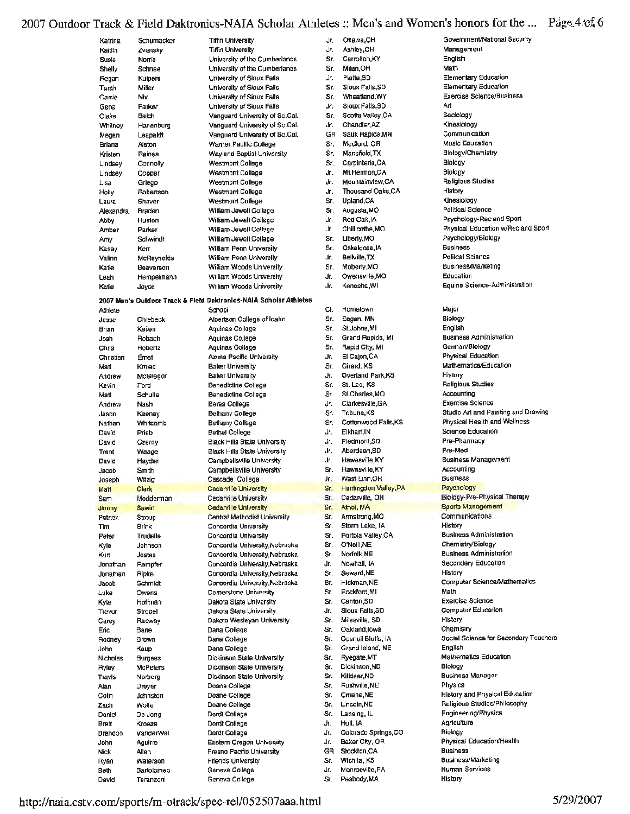### 2007 Outdoor Track & Field Daktronics-NAIA Scholar Athletes :: Men's and Women's honors for the ... Page 4:05 6

| Katrina         | Schumacker         | <b>Tiffin University</b>                                          | Jr. | Ottawa              |
|-----------------|--------------------|-------------------------------------------------------------------|-----|---------------------|
| Kaitlin         | Zvansky            | <b>Tifin University</b>                                           | Jr. | Ashley              |
| Susie           | Norfa              | University of the Cumberlands                                     | Sr. | Carrolt             |
| Shelly          | Schnee             | University of the Cumberlands                                     | Sr. | Milan.              |
| Regan           | Kuipers            | University of Sioux Falls                                         | Jr. | Platte,             |
| Tarah           | Miller             | University of Sioux Falls                                         | Sr. | Sloux I             |
| Carrie          | Nix                | University of Sioux Falls                                         | Sr. | Wheat               |
| Gena            | Parker             | University of Sioux Falls                                         | Jr. | Sioux F             |
| Claire          | Balch              | Vanguard University of So.Cal.                                    | Sr. | Scotts              |
| Whitney         | Hanenburg          | Vanguard University of So.Cal.                                    | Jr. | Chand               |
| Megan           | Leapakit           | Vanguard University of So.Cal.                                    | GR  | Sauk F              |
| Briana          | Alston             | Warner Pacific College                                            | Sr. | Medior              |
| Kristen         | Raines             | Wayland Baptist University                                        | Sr. | Mansfi              |
| Lindsev         | Cannolly           | <b>Westmont College</b>                                           | Sr. | Carpint             |
| Lindsey         | Cooper             | Westmont College                                                  | Jr. | Mi.Hen              |
| Lisa            | Griego             | Westmont College                                                  | Jr. | Mounta              |
| Holly           | Robertson          | Westmont College                                                  | Jr. | Thousa              |
| Laura           | Shaver             | <b>Westmont College</b>                                           | Sr. | Upland              |
| Alexandra       | Braden             | William Jewell College                                            | Sr. | August              |
| Abby            | Huston             | William Jewell College                                            | J۳. | Red Oa              |
| Amber           | Parker             | William Jewell College                                            | J۳. | Chillico            |
| Amy             | Schwindt           | William Jewell College                                            | Sr. | Liberly,            |
| Kasey           | Kerr               | William Penn University                                           | Sr. | Oskalo              |
| Valinn          | McReynolds         | William Penn University                                           | Jr. | <b>Belly</b> ille   |
| Katie           | Beaverson          | William Woods University                                          | Sr. | Moberl              |
| Leah            | Hempelmann         | William Woods University                                          | Jr. | Owens               |
|                 |                    |                                                                   | Jr. | Kenosh              |
| Katie           | Joyce              | William Woods University                                          |     |                     |
|                 |                    | 2007 Men's Outdoor Track & Field Daktronics-NAIA Scholar Athletes |     |                     |
| Athlete         |                    | School                                                            | CI. | Homek               |
| Jesse           | Chlebeck           | Albertson College of Idaho                                        | Sr. | Eagan,              |
| Brian           | Keilen             | Aguinas College                                                   | Sr. | St.Johr             |
| Joah            | Robach             | Aquinas College                                                   | Sr. | Grand I             |
| Chris           | Robertz            | Aquinas College                                                   | Sr. | Flapid (            |
| Christian       | Emst               | <b>Azusa Pacific University</b>                                   | Jr. | El Cajo             |
| Matt            | Kmiec              | <b>Baker University</b>                                           | Sr. | Girard,             |
| Andrew          | McGregor           | <b>Baker University</b>                                           | ĴГ. | Overlar             |
| Kevin           | Ford               | Benedictine College                                               | Sr. | St. Leo             |
| Matt            | Schulte            | Benedictine College                                               | Sr. | St.Cha              |
| Andrew          | Nash               | Berea College                                                     | Jr. | Clarkes             |
| Jason           | Keeney             | Bethany College                                                   | Sr. | Tribune             |
| Nathan          | Whiteomb           | Bethany College                                                   | Sr. | Cottony             |
| David           | Prieb              | Bethel College                                                    | Jr. | Elkhart             |
| David           | Czerny             | <b>Black Hills State University</b>                               | Jr. | Pledmo              |
|                 |                    | <b>Black Hills State University</b>                               | Jr. | Aberde              |
| Trent           | Waage              | Campbellsville University                                         | Jr. | Hawes               |
| David           | Hayden<br>Smith    | Campbellsville University                                         | Sr. | Hawesy              |
| Jacob           |                    | Cascade College                                                   | Jr. | West L              |
| Joseph          | Witzig             | Cedarville University                                             | Sr. | Hunting             |
| Matt            | Clark<br>Modderman |                                                                   | Sr. | Cedary              |
| Sam             |                    | Cedarville University                                             | Sr. |                     |
| <b>Jimmy</b>    | Sawin              | Cedarville University                                             | Sr. | Athol, N<br>Armstro |
| Patrick         | Stroup             | Central Methodist University                                      |     |                     |
| Tim             | Brink              | Concordia University                                              | Sr. | Storm L             |
| Peter           | Trudelle           | Concordia University                                              | Sr. | Portola             |
| Kyle            | Johnson            | Concordia University, Nebraska                                    | Sr. | O'Neill,            |
| Kurt            | Jostes             | Concordia University, Nebraska                                    | Sr. | Norfolk.            |
| Jonathan        | Rampfer            | Concordia University, Nebraska                                    | Jr. | Newhal              |
| Jonathan        | Ripke              | Concordia University, Nebraska                                    | Sr. | Seward              |
| Jacob           | Schmidt            | Concordia University, Nebraska                                    | Sr. | Hickma              |
| Luke            | Owens              | Cornerstone University                                            | Śг. | Rockfor             |
| Kyle            | Hoffman            | Dakota State University                                           | Sr. | Canton              |
| Trevor          | Strobel            | Dakota State University                                           | Jr. | Sioux F             |
| Carey           | Radway             | Dakota Wesleyan University                                        | Sr. | Milesvil            |
| Eric            | Bane               | Dana College                                                      | Sr. | Oaklan              |
| Rodney          | Brown              | Dana College                                                      | Sr. | Council             |
| John            | Kaup               | Dana College                                                      | Sr. | Grand I             |
| <b>Nicholas</b> | <b>Burgess</b>     | Dickinson State University                                        | Sr. | Ryegati             |
| Ryley           | <b>McPeters</b>    | Dickinson State University                                        | Sr. | Dickins             |
| Travis          | Norberg            | <b>Dickinson State University</b>                                 | Sr. | Killdeer            |
| Alan            | Dreyer             | Doane College                                                     | Sr. | Rushvil             |
| Colin.          | Johnston           | Doane College                                                     | Sr. | Omaha               |
| Zach            | Wolfe              | Doane College                                                     | Sr. | Lincoln             |
| Daniel          | De Jong            | Dordt College                                                     | Sr. | Lansing             |
| Brett           | Kroeze             | Dordt College                                                     | Jr. | Hull, IA            |
| Brendon         | VanderWel          | Dordt College                                                     | Jг. | Colorac             |
| John            | Aguirre            | Eastem Oregon Univeraity                                          | Jr. | Baker C             |
| Níck            | Allen              | Fresno Pacific University                                         | GR  | Stockto             |
| Ryan            | Waterson           | Friends University                                                | Sr. | Wichita             |
| Beth            | Bartolomeo         | Geneva College                                                    | Jr. | Monroe              |

wa,OH ley,OH Management English rolton.KY HO,na Math. te,SD x Falls, SD astisnd WY ıx Falls,SD Art Its Valley, CA Sociology Kinesiology ndler,AZ Communication k Rapide, MN ford, OR Music Education sfield.TX pinteria,CA Biology Biology Hermon.CA intainview,CA usand Oaks.CA **History** and,CA Kinesiology Political Science OM, stau Oak, IA OM.er#coli rly,MO aloosa,IA **Business** Politcal Science ville, TX erly,MO nsville,MO Education uw.arko ietown Major Biology an, MN ohris,MI English nd Rapids, MI German/Bloiogy id City, Mi ajon,CA rd, KS rland Park,KS History Religious Studies eo, KS harles,MO Accounting Exercise Science kesville.GA une,KS **Ignwood Falls,KS** art,IN Pre-Pharmacy mont.SD rdeen,SD Pre-Med resville,KY esville,KY Accounting **Business** t Linn.OR tingdon Valley, PA Psychology arville, OH N, MA strong, MO Communications History m Lake, IA ola Valley,CA aill,NE olk, NE hall. IA ard,NE History man,NE dord,MI Math **Exercise Science** ton,SD x Falls,SD sville, SD History and, lowa Chemistry ncil Bluffs, IA id Island, NE English jate,MT Biology inson.ND eer,ND wille,NE Physics tha,NE oln,NE iing, I∟ Agriculture rado Springs,CO Biology ar City, OR kton,CA **Business** iita, KS nroeville, PA **Human Services** Sr. Peabody, MA

Government/National Security Elementary Education **Elementary Education** Exercise Sclence/Business **Blology/Chemistry** Religious Studies Psychology-Rec and Sport Physical Education w/Rec and Sport Psychology/Biology Business/Marketing Equine Science-Administration **Business Administration** Physical Education Mathematics/Education Studio Art and Painting and Drawing Physical Health and Wellness Science Education **Business Management** Biology-Pre-Physical Therapy Sports Management **Business Administration** Chemistry/Biology **Business Administration** Secondary Education **Computer Science/Mathematics** Computer Education Social Science for Secondary Teachers Mathematics Education **Business Manager History and Physical Education** Religious Studies/Philosophy Engineering/Physics Physical Education/Health Business/Marketing History

http://naia.cstv.com/sports/m-otrack/spec-rel/052507aaa.html

Teranzoni

David

Geneva College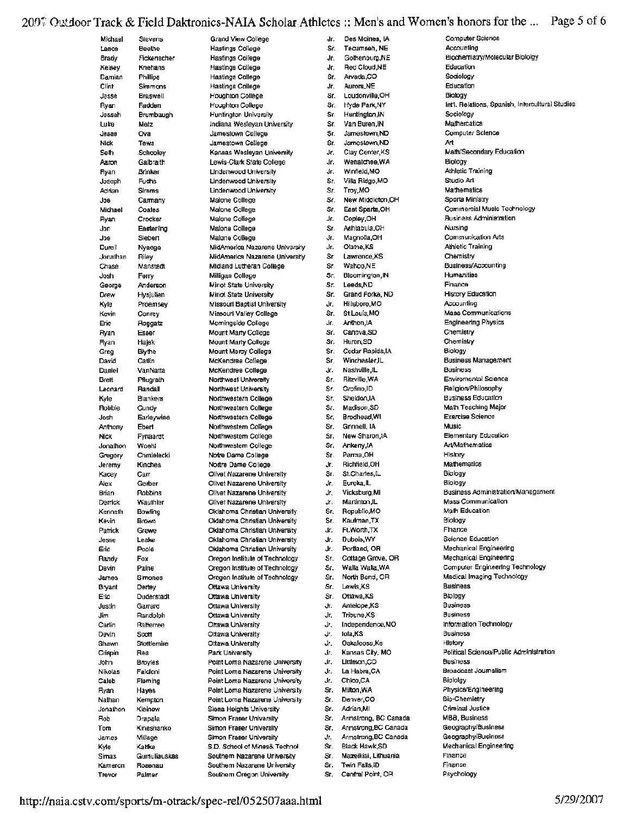# 2007 Outdoor Track & Field Daktronics-NAIA Scholar Athletes :: Men's and Women's honors for the ... Page 5 of 6

| Michael          | Stevens                     |
|------------------|-----------------------------|
| Lance            | <b>Beethe</b>               |
| Brady<br>Kelsey  | Fickenscher<br>Knehans      |
| Damian           | <b>Phillips</b>             |
| Clint            | Simmons                     |
| Jesse            | <b>Braswell</b>             |
| Ryan<br>Jessah   | Fadden<br>Brumbaugh         |
| Luke             | Metz                        |
| esseL            | Ova                         |
| Nick             | Tews                        |
| Seth             | Schooley<br>Galbraith       |
| Aaron<br>Ryan    | Brinker                     |
| Joseph           | Fuchs                       |
| Adrian           | Simms                       |
| Joe              | Carmany                     |
| Michael          | Coates<br>Crocker           |
| Ryan<br>Jon      | Easterling                  |
| Joe              | Slebert                     |
| Durall           | Nyaega                      |
| Jonathan         | Riley                       |
| Chase<br>Josh    | Manstedt<br>Ferry           |
| George           | Anderson                    |
| Drew             | Hys]ulien                   |
| Kyle             | Proemsey                    |
| Kevin            | Conrey                      |
| Eric<br>Ryan     | Roggatz<br>Esser            |
| Ryan             | Најек                       |
| Greg             | Blythe                      |
| David            | Catlin                      |
| Daniel<br>Brett  | VanNatta                    |
| Leonard          | Pflugrath<br><b>Randall</b> |
| Kyle             | Blankers                    |
| <b>Robbie</b>    | Cundy                       |
| Josh             | Earleywine                  |
| Anthony<br>Nick  | Ebert<br>Fynaardt           |
| Jonathon         | Woehl                       |
| Gregory          | Chmielecki                  |
| Jeremy           | Kinches                     |
| Kacey            | Carr                        |
| Alex<br>Brian    | Gerber<br>Robbins           |
| Derrick          | Wauthier                    |
| Kenneth          | Bowling                     |
| Kevin            | <b>Brown</b>                |
| Patrick<br>Jesse | Grewe<br>Leake              |
| Eric             | Poole                       |
| Randy            | Fox                         |
| Devin            | Paine                       |
| James            | Simones                     |
| Bryant<br>Eric   | Dertey<br>Duderstadt        |
| Justin           | Garrard                     |
| Jim              | Randolph                    |
| Cartin           | Ralterree                   |
| Devin<br>Shawn   | Scott<br>Stottlemire        |
| Crispin          | Rea                         |
| John             | Broyles                     |
| Nikolas          | Falcioni                    |
| Caleb            | Fleming                     |
| Ryan<br>Nalhan   | Hayes<br>Kempton            |
| Jonathon         | Kleinow                     |
| Rob              | Drapala                     |
| Tom              | Kineshanko                  |
| James<br>Kyle    | Millage<br>Kattke           |
| Simas            | Gumuliauskas                |
|                  |                             |

Grand View College **Hastings College Hastings College Hastings College Hastings College Hastings College Houghton College** Houghton College Huntington University Indiana Weslevan University Jamestown College Jamestown College Kansas Wesleyan University Lewis-Clark State College **Lindenwood University** Lindenwood University Lindenwood University **Malone College** Malone College Malone College Malone College Malone College MidAmerica Nazarene University MidAmerics Nazarene University **Midland Lutheran College** Milligan College Minot State University **Minot State University** Missouri Baptist University Missouri Valley College Momingside College Mount Marty College Mount Marty College Mount Mercy College McKendree College McKendree College Northwest University Northwest University Northwestern College Northwestern College Northwestern College Northwestern College Northwestern College Northwestern College Notre Dame College Nortre Dame College Olivet Nazarene University Olivet Nazarene University Olivet Nazarene University Olivet Nazarene University Oklahoma Christian University Oldahoma Christian University Oklahoma Christian University Oklahoma Christian University Oldahoma Christian University Oregon Institute of Technology Oregon Institute of Technology Oregon Institute of Technology Ottawa University Ottawa University Ottawa University Ottawa University **Ohawa University** Ottawa University Ottawa University Park University Point Loma Nazarene University Point Loma Nazarene University Point Loma Nazarene University Point Loma Nazarene University Point Loma Nazarene University Siena Heights University Simon Fraser University Simon Fraser University Simon Fraser University S.D. School of Mines& Technol. Southern Nazarana University

Southern Nazarene University

Southern Oregon University

Jr. Des Moines, IA Sr. Tecumseh, NE Gothenburg, NE Jr. Jr. Red Cloud, NE Sr. Arvada.CO Jr. Aurora.NE Sr. Loudonville, OH Sr **Hyde Park NY** Sr. Huntington.IN Sr. Van Buren IN Sr. Jamestown ND Jamesiown ND Sr. Jr. Clav Center.KS Wenatchee.WA Jr. dr. Winfleld.MO Villa Ridge, MO Sr. Trov.MO Sr. New Middleton OH Sr. Sr. East Sparta.OH dr. Cooley.OH Ashlabula, OH Sr. Magnolla.OH  $.1r.$ Jr. Olathe, KS Sr. Lawrence KS Wahoo,NE Sr. Sr. Bloomington, IN Leeds, ND Sr. Grand Forke, ND Sr. Jr. Hillsboro, MO St.Louis.MO Sr. Jr. Anthon, IA Sr. Canova.SD Sr. Huron.SD Cedar Rapids, IA Sr. Sr. Winchesler II Nashville.IL Jr. Ritzville, WA Sr. Sr. Orofino, ID Sheldon.IA Sr. Sr. Madison.SD Sr. **Brodhead.WI** Sr. Grinnell, IA New Sharon.IA Sr. Sr. Ankeny.IA Parma.OH Sr. Richfield, OH Jr. St.Chartes.IL Sr. Ĵг. Eureka, IL Vicksburg.MI Jr. Martinton, IL Jr. Republic, MO Sr. Sr. Kaufman, TX  $\mathbf{dr}$ Ft.Worth,TX dr. Dubois, WY Jr. Portland, OR Sr. Cottage Grove, OR Sr. Walla Walla, WA Sr. North Bend, OR Sr. Lewis, KS Sr. Ottawa.KS Jr. Antelope,KS Jr. **Tribune.KS** Independence, MO Jr. lola.KS Jr. Jr. Oskaloosa,Ks Kansas City, MO dr. Jr. Littleton.CO La Habra, CA Jr. Jr. Chlco,CA Sr. Milton, WA Sr. Danver.CO Sr. Adrian,MI Armstrong, BC Canada Sr. Armstrong, BC Canada Sr. Armstrong, BC Canada Jr. Black Hawk, SD Sr. Sr. Mazeikiai, Lithuania Twin Falls, ID Sr. Sr. Central Point, OR

Accounting Biochemistry/Molecular Bioloky Education Sociology Education Biology Int'l, Relations, Spanish, Intercultural Studies Sociology Mathematics Computer Science Art Math/Secondary Education Biology Athletic Training Studio Art Mathematics Sporta Ministry Commercial Music Technology **Business Administration** Nursing Communication Arts **Athletic Training** Chemistry Business/Accounting Humanities Finance **History Education** Accounting **Mass Communications Engineering Physics** Chemistry Chemistry Biology **Business Management Business** Enviromental Science Religion/Philosophy **Business Education** Math Teaching Major **Exercise Science** Music Elementary Education Art/Mathematics History Mathematics Biology Blology **Business Administration/Management** Mass Communication Math Education **Biology** Finance Science Education Mechanical Engineering **Mechanical Engineering** Computer Engineering Technology Medical Imaging Technology **Business** Biology **Business Business** Information Technology **Business** History Political Science/Public Administration **Business** Broadcast Journalism Biololgy Physics/Engineering **Bio-Chemietry Criminal Justice MBB. Business** Geography/Businesa Geography/Business Mechanical Engineering Finance Finance Psychology

Computer Science

Rosenau

Palmer

Kameron

Trevor